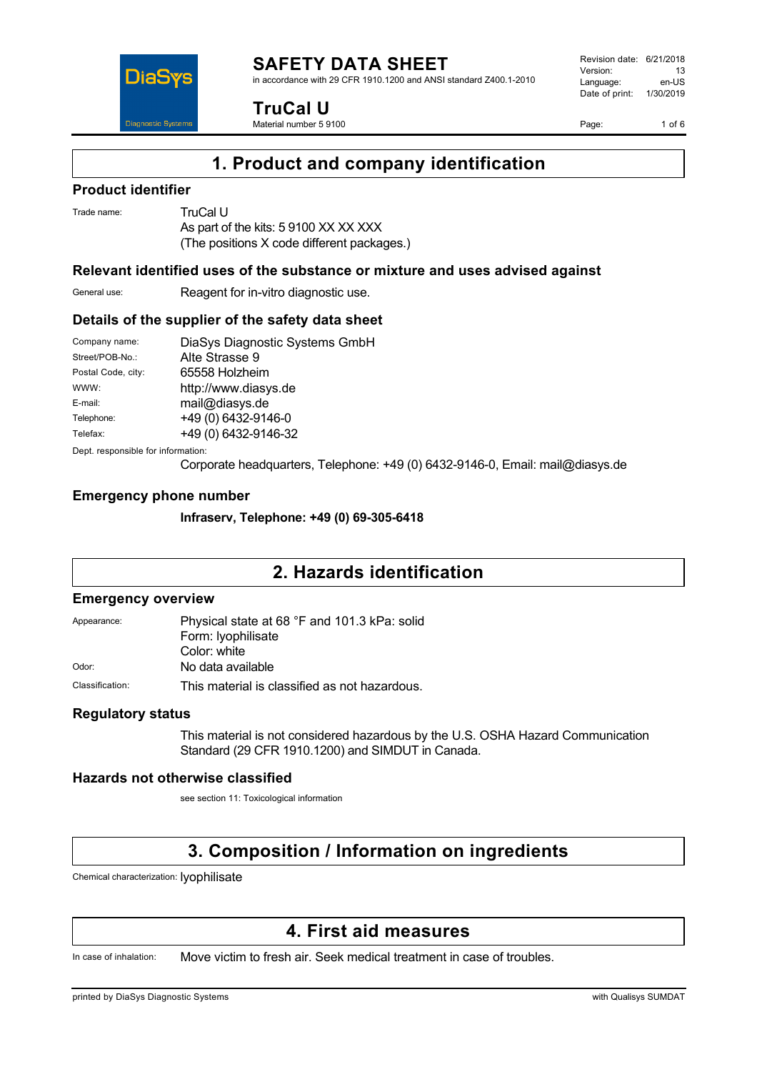

in accordance with 29 CFR 1910.1200 and ANSI standard Z400.1-2010



**TruCal U** Material number 5 9100 Revision date: 6/21/2018 Version: 13<br>Language: en-LIS Language: Date of print: 1/30/2019

Page: 1 of 6

# **1. Product and company identification**

#### **Product identifier**

Trade name: TruCal U

As part of the kits: 5 9100 XX XX XXX (The positions X code different packages.)

### **Relevant identified uses of the substance or mixture and uses advised against**

General use: Reagent for in-vitro diagnostic use.

### **Details of the supplier of the safety data sheet**

| Company name:      | DiaSys Diagnostic Systems GmbH |
|--------------------|--------------------------------|
| Street/POB-No.:    | Alte Strasse 9                 |
| Postal Code, city: | 65558 Holzheim                 |
| WWW:               | http://www.diasys.de           |
| E-mail:            | mail@diasys.de                 |
| Telephone:         | +49 (0) 6432-9146-0            |
| Telefax:           | +49 (0) 6432-9146-32           |
|                    |                                |

Dept. responsible for information:

Corporate headquarters, Telephone: +49 (0) 6432-9146-0, Email: mail@diasys.de

## **Emergency phone number**

**Infraserv, Telephone: +49 (0) 69-305-6418**

# **2. Hazards identification**

#### **Emergency overview**

| Appearance:     | Physical state at 68 °F and 101.3 kPa: solid  |  |
|-----------------|-----------------------------------------------|--|
|                 | Form: lyophilisate                            |  |
|                 | Color: white                                  |  |
| Odor:           | No data available                             |  |
| Classification: | This material is classified as not hazardous. |  |

### **Regulatory status**

This material is not considered hazardous by the U.S. OSHA Hazard Communication Standard (29 CFR 1910.1200) and SIMDUT in Canada.

### **Hazards not otherwise classified**

see section 11: Toxicological information

# **3. Composition / Information on ingredients**

Chemical characterization: lyophilisate

# **4. First aid measures**

In case of inhalation: Move victim to fresh air. Seek medical treatment in case of troubles.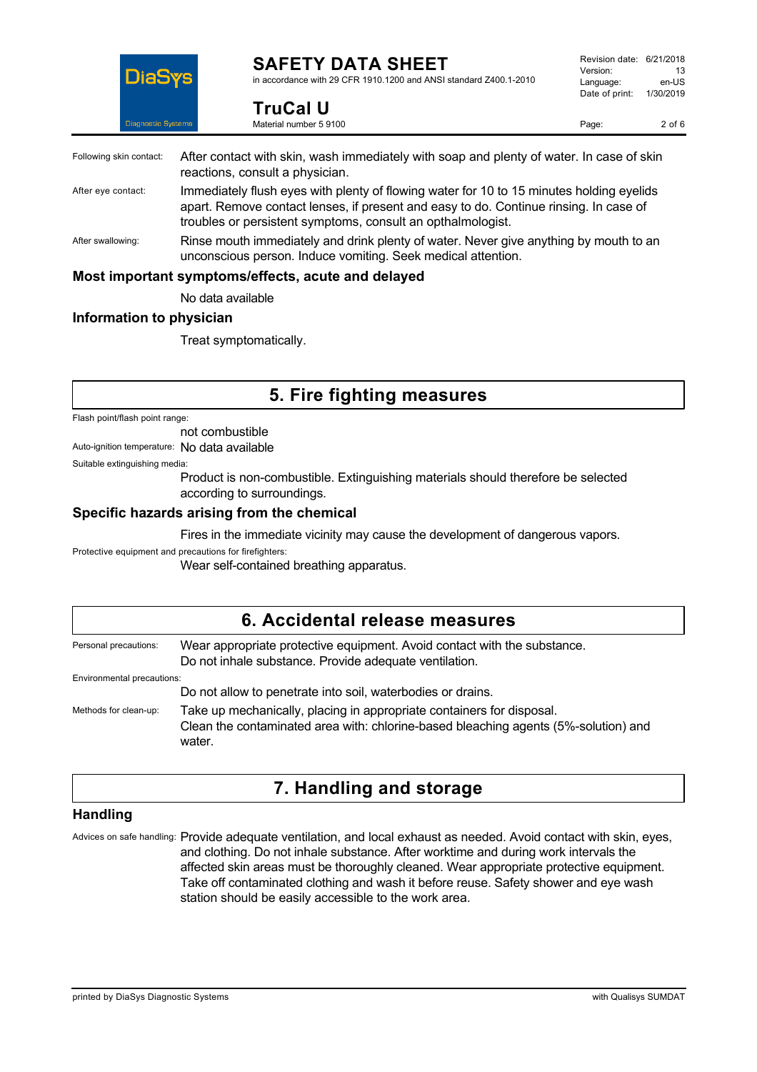

**TruCal U** Material number 5 9100

in accordance with 29 CFR 1910.1200 and ANSI standard Z400.1-2010

Page: 2 of 6

| Following skin contact: | After contact with skin, wash immediately with soap and plenty of water. In case of skin<br>reactions, consult a physician.                                                                                                                      |
|-------------------------|--------------------------------------------------------------------------------------------------------------------------------------------------------------------------------------------------------------------------------------------------|
| After eye contact:      | Immediately flush eyes with plenty of flowing water for 10 to 15 minutes holding eyelids<br>apart. Remove contact lenses, if present and easy to do. Continue rinsing. In case of<br>troubles or persistent symptoms, consult an opthalmologist. |
| After swallowing:       | Rinse mouth immediately and drink plenty of water. Never give anything by mouth to an<br>unconscious person. Induce vomiting. Seek medical attention.                                                                                            |
|                         | Most important symptoms/effects, acute and delayed                                                                                                                                                                                               |
|                         | No data available                                                                                                                                                                                                                                |

### **Information to physician**

Treat symptomatically.

# **5. Fire fighting measures**

Flash point/flash point range:

not combustible

Auto-ignition temperature: No data available

Suitable extinguishing media:

Product is non-combustible. Extinguishing materials should therefore be selected according to surroundings.

#### **Specific hazards arising from the chemical**

Fires in the immediate vicinity may cause the development of dangerous vapors.

Protective equipment and precautions for firefighters:

Wear self-contained breathing apparatus.

| 6. Accidental release measures |                                                                                                                                                                        |  |
|--------------------------------|------------------------------------------------------------------------------------------------------------------------------------------------------------------------|--|
| Personal precautions:          | Wear appropriate protective equipment. Avoid contact with the substance.<br>Do not inhale substance. Provide adequate ventilation.                                     |  |
| Environmental precautions:     |                                                                                                                                                                        |  |
|                                | Do not allow to penetrate into soil, waterbodies or drains.                                                                                                            |  |
| Methods for clean-up:          | Take up mechanically, placing in appropriate containers for disposal.<br>Clean the contaminated area with: chlorine-based bleaching agents (5%-solution) and<br>water. |  |

# **7. Handling and storage**

### **Handling**

Advices on safe handling: Provide adequate ventilation, and local exhaust as needed. Avoid contact with skin, eyes, and clothing. Do not inhale substance. After worktime and during work intervals the affected skin areas must be thoroughly cleaned. Wear appropriate protective equipment. Take off contaminated clothing and wash it before reuse. Safety shower and eye wash station should be easily accessible to the work area.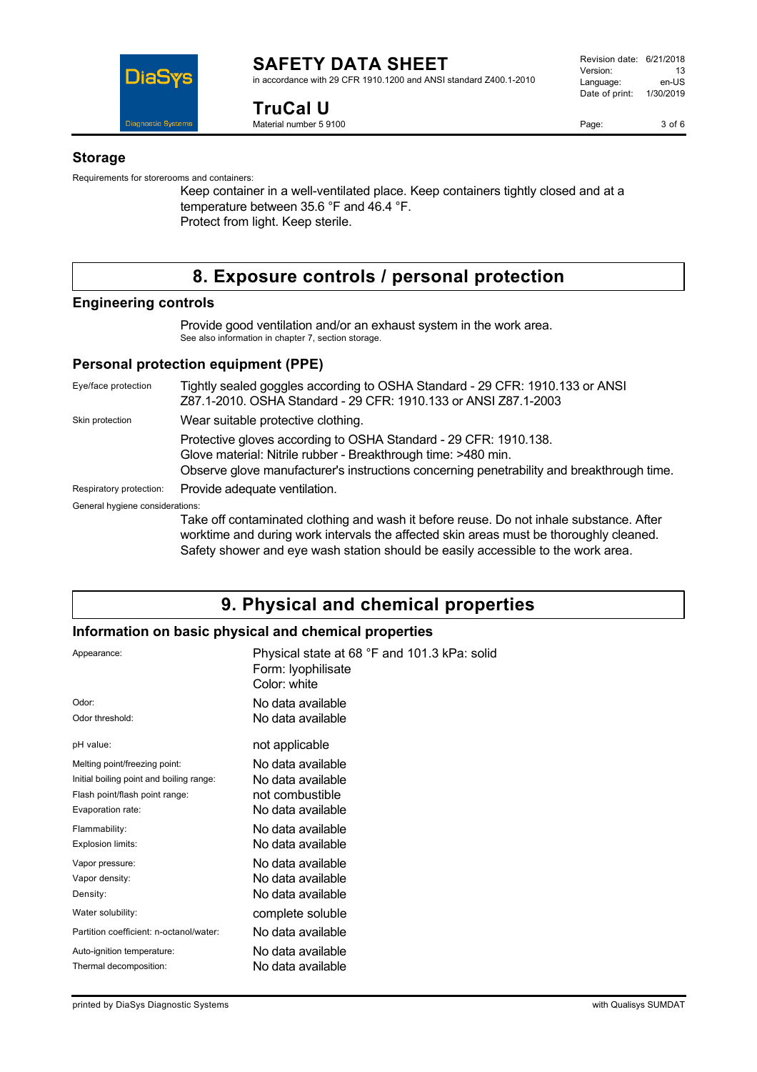

#### **SAFETY DATA SHEET** in accordance with 29 CFR 1910.1200 and ANSI standard Z400.1-2010

**TruCal U**

Material number 5 9100

Page: 3 of 6

#### **Storage**

Requirements for storerooms and containers:

Keep container in a well-ventilated place. Keep containers tightly closed and at a temperature between 35.6 °F and 46.4 °F. Protect from light. Keep sterile.

# **8. Exposure controls / personal protection**

### **Engineering controls**

Provide good ventilation and/or an exhaust system in the work area. See also information in chapter 7, section storage.

## **Personal protection equipment (PPE)**

Eye/face protection Tightly sealed goggles according to OSHA Standard - 29 CFR: 1910.133 or ANSI Z87.1-2010. OSHA Standard - 29 CFR: 1910.133 or ANSI Z87.1-2003 Skin protection **Wear suitable protective clothing.** Protective gloves according to OSHA Standard - 29 CFR: 1910.138. Glove material: Nitrile rubber - Breakthrough time: >480 min. Observe glove manufacturer's instructions concerning penetrability and breakthrough time. Respiratory protection: Provide adequate ventilation. General hygiene considerations: Take off contaminated clothing and wash it before reuse. Do not inhale substance. After worktime and during work intervals the affected skin areas must be thoroughly cleaned.

# **9. Physical and chemical properties**

Safety shower and eye wash station should be easily accessible to the work area.

# **Information on basic physical and chemical properties**

| Appearance:                              | Physical state at 68 °F and 101.3 kPa: solid<br>Form: Iyophilisate<br>Color: white |
|------------------------------------------|------------------------------------------------------------------------------------|
| Odor:                                    | No data available                                                                  |
| Odor threshold:                          | No data available                                                                  |
| pH value:                                | not applicable                                                                     |
| Melting point/freezing point:            | No data available                                                                  |
| Initial boiling point and boiling range: | No data available                                                                  |
| Flash point/flash point range:           | not combustible                                                                    |
| Evaporation rate:                        | No data available                                                                  |
| Flammability:                            | No data available                                                                  |
| Explosion limits:                        | No data available                                                                  |
| Vapor pressure:                          | No data available                                                                  |
| Vapor density:                           | No data available                                                                  |
| Density:                                 | No data available                                                                  |
| Water solubility:                        | complete soluble                                                                   |
| Partition coefficient: n-octanol/water:  | No data available                                                                  |
| Auto-ignition temperature:               | No data available                                                                  |
| Thermal decomposition:                   | No data available                                                                  |
|                                          |                                                                                    |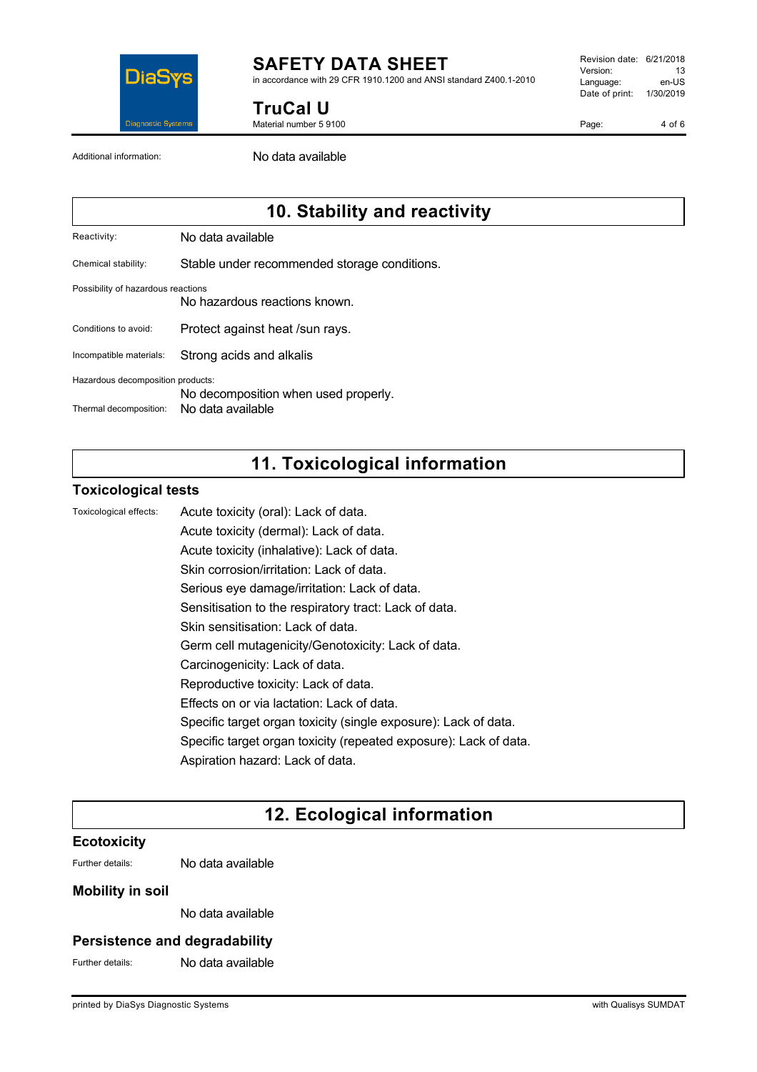

in accordance with 29 CFR 1910.1200 and ANSI standard Z400.1-2010

**TruCal U**

Material number 5 9100

Revision date: 6/21/2018 Version: 13<br>Language: en-LIS Language: Date of print: 1/30/2019

Page: 4 of 6

Additional information: No data available

# **10. Stability and reactivity**

Reactivity: No data available

Chemical stability: Stable under recommended storage conditions.

#### Possibility of hazardous reactions

No hazardous reactions known.

Conditions to avoid: Protect against heat /sun rays.

Incompatible materials: Strong acids and alkalis

Hazardous decomposition products:

No decomposition when used properly.

Thermal decomposition: No data available

# **11. Toxicological information**

### **Toxicological tests**

Toxicological effects: Acute toxicity (oral): Lack of data.

Acute toxicity (dermal): Lack of data. Acute toxicity (inhalative): Lack of data. Skin corrosion/irritation: Lack of data. Serious eye damage/irritation: Lack of data. Sensitisation to the respiratory tract: Lack of data. Skin sensitisation: Lack of data. Germ cell mutagenicity/Genotoxicity: Lack of data. Carcinogenicity: Lack of data. Reproductive toxicity: Lack of data. Effects on or via lactation: Lack of data.

Specific target organ toxicity (single exposure): Lack of data.

Specific target organ toxicity (repeated exposure): Lack of data.

Aspiration hazard: Lack of data.

# **12. Ecological information**

### **Ecotoxicity**

Further details: No data available

### **Mobility in soil**

No data available

### **Persistence and degradability**

Further details: No data available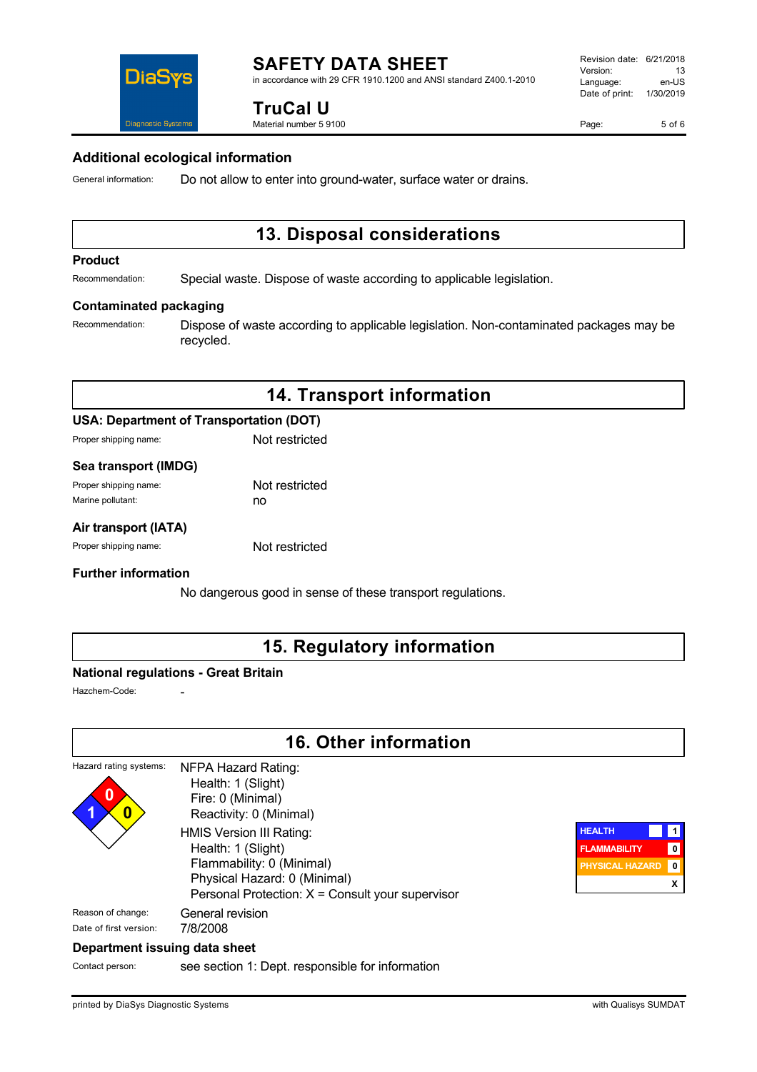in accordance with 29 CFR 1910.1200 and ANSI standard Z400.1-2010

# **TruCal U**

Material number 5 9100

Page: 5 of 6



#### **Additional ecological information**

General information: Do not allow to enter into ground-water, surface water or drains.

# **13. Disposal considerations**

#### **Product**

Recommendation: Special waste. Dispose of waste according to applicable legislation.

#### **Contaminated packaging**

Recommendation: Dispose of waste according to applicable legislation. Non-contaminated packages may be recycled.

# **14. Transport information**

#### **USA: Department of Transportation (DOT)**

Proper shipping name: Not restricted

#### **Sea transport (IMDG)**

| Proper shipping name: | Not restricted |
|-----------------------|----------------|
| Marine pollutant:     | no             |

#### **Air transport (IATA)**

Proper shipping name: Not restricted

#### **Further information**

No dangerous good in sense of these transport regulations.

# **15. Regulatory information**

### **National regulations - Great Britain**

Hazchem-Code:

# **16. Other information**

#### Hazard rating systems: **0 1 0** NFPA Hazard Rating: Health: 1 (Slight) Fire: 0 (Minimal) Reactivity: 0 (Minimal) HMIS Version III Rating: Health: 1 (Slight) Flammability: 0 (Minimal) Physical Hazard: 0 (Minimal) Personal Protection: X = Consult your supervisor Reason of change: General revision Date of first version: 7/8/2008



### **Department issuing data sheet**

Contact person: see section 1: Dept. responsible for information